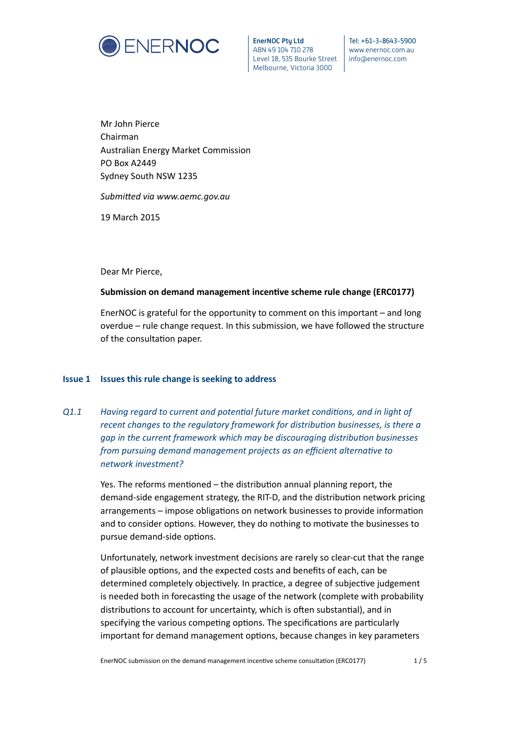

EnerNOC Pty Ltd ABN 49 104 710 278 Level 18, 535 Bourke Street Melbourne, Victoria 3000

Tel: +61-3-8643-5900 www.enernoc.com.au info@enernoc.com

Mr John Pierce Chairman Australian Energy Market Commission PO Box A2449 Sydney South NSW 1235

#### Submitted via www.aemc.gov.au

19 March 2015

Dear Mr Pierce,

### **Submission on demand management incentive scheme rule change (ERC0177)**

EnerNOC is grateful for the opportunity to comment on this important – and long overdue – rule change request. In this submission, we have followed the structure of the consultation paper.

### **Issue 1 Issues this rule change is seeking to address**

**Q1.1** *Having regard to current and potential future market conditions, and in light of recent changes to the regulatory framework for distribution businesses, is there a* gap in the current framework which may be discouraging distribution businesses *from pursuing demand management projects as an efficient alternative to network investment?*

> Yes. The reforms mentioned – the distribution annual planning report, the demand-side engagement strategy, the RIT-D, and the distribution network pricing arrangements – impose obligations on network businesses to provide information and to consider options. However, they do nothing to motivate the businesses to pursue demand-side options.

> Unfortunately, network investment decisions are rarely so clear-cut that the range of plausible options, and the expected costs and benefits of each, can be determined completely objectively. In practice, a degree of subjective judgement is needed both in forecasting the usage of the network (complete with probability distributions to account for uncertainty, which is often substantial), and in specifying the various competing options. The specifications are particularly important for demand management options, because changes in key parameters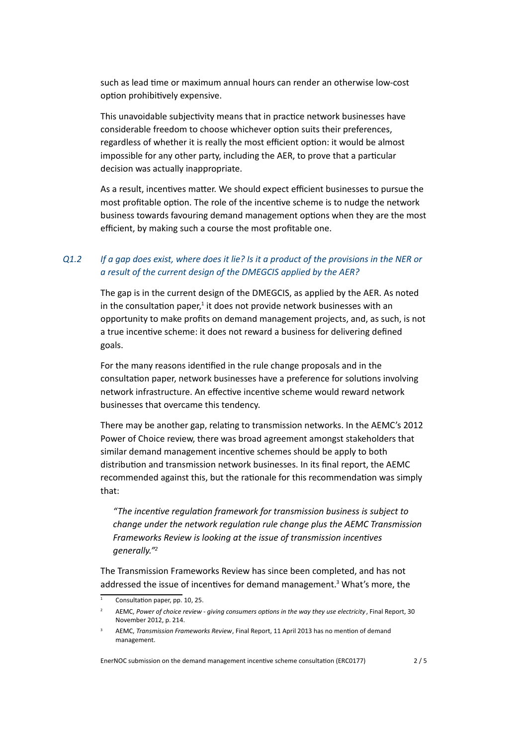such as lead time or maximum annual hours can render an otherwise low-cost option prohibitively expensive.

This unavoidable subjectivity means that in practice network businesses have considerable freedom to choose whichever option suits their preferences, regardless of whether it is really the most efficient option: it would be almost impossible for any other party, including the AER, to prove that a particular decision was actually inappropriate.

As a result, incentives matter. We should expect efficient businesses to pursue the most profitable option. The role of the incentive scheme is to nudge the network business towards favouring demand management options when they are the most efficient, by making such a course the most profitable one.

## *Q1.2 If a gap does exist, where does it lie? Is it a product of the provisions in the NER or a result of the current design of the DMEGCIS applied by the AER?*

The gap is in the current design of the DMEGCIS, as applied by the AER. As noted in the consultation paper,<sup>1</sup> it does not provide network businesses with an opportunity to make profits on demand management projects, and, as such, is not a true incentive scheme: it does not reward a business for delivering defined goals.

For the many reasons identified in the rule change proposals and in the consultation paper, network businesses have a preference for solutions involving network infrastructure. An effective incentive scheme would reward network businesses that overcame this tendency.

There may be another gap, relating to transmission networks. In the AEMC's 2012 Power of Choice review, there was broad agreement amongst stakeholders that similar demand management incentive schemes should be apply to both distribution and transmission network businesses. In its final report, the AEMC recommended against this, but the rationale for this recommendation was simply that:

"The incentive regulation framework for transmission business is subject to *change under the network regulation rule change plus the AEMC Transmission Frameworks Review is looking at the issue of transmission incentives generally."2*

The Transmission Frameworks Review has since been completed, and has not addressed the issue of incentives for demand management.<sup>3</sup> What's more, the

<span id="page-1-1"></span><span id="page-1-0"></span>EnerNOC submission on the demand management incentive scheme consultation (ERC0177) 2/5

Consultation [pa](#page-1-0)per, pp. 10, 25.

AEMC, Power of choice review - giving consumers options in the way they use electricity, Final Report, 30 November 2012, p. 214.

AEMC, *Transmission Fra[me](#page-1-1)works Review*, Final Report, 11 April 2013 has no mention of demand management.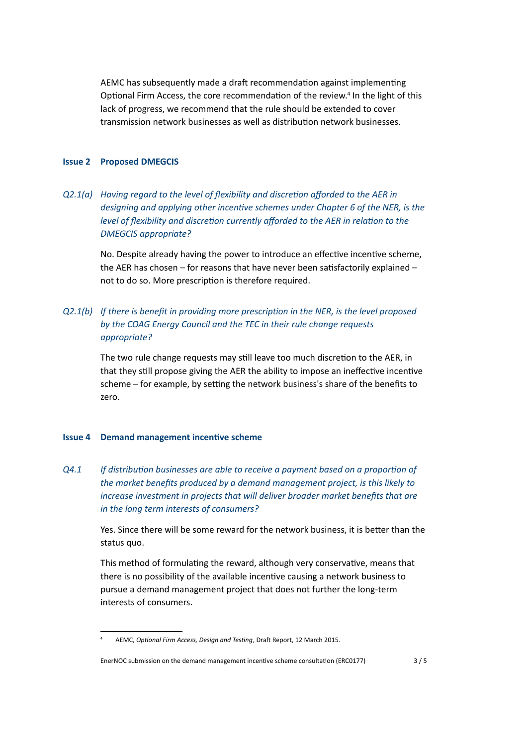AEMC has subsequently made a draft recommendation against implementing Optional Firm Access, the core recommendation of the review.<sup>4</sup> In the light of this lack of progress, we recommend that the rule should be extended to cover transmission network businesses as well as distribution network businesses.

#### **Issue 2 Proposed DMEGCIS**

*Q2.1(a) Having regard to the level of flexibility and discretion afforded to the AER in designing and applying other incentive schemes under Chapter 6 of the NER, is the level of flexibility and discretion currently afforded to the AER in relation to the DMEGCIS appropriate?*

No. Despite already having the power to introduce an effective incentive scheme, the AER has chosen  $-$  for reasons that have never been satisfactorily explained  $$ not to do so. More prescription is therefore required.

# *Q2.1(b)* If there is benefit in providing more prescription in the NER, is the level proposed *by the COAG Energy Council and the TEC in their rule change requests appropriate?*

The two rule change requests may still leave too much discretion to the AER, in that they still propose giving the AER the ability to impose an ineffective incentive scheme – for example, by setting the network business's share of the benefits to zero.

#### **Issue 4 Demand management incentive scheme**

*Q4.1 If distribution businesses are able to receive a payment based on a proportion of* the market benefits produced by a demand management project, is this likely to *increase investment in projects that will deliver broader market benefits that are in the long term interests of consumers?*

> Yes. Since there will be some reward for the network business, it is better than the status quo.

This method of formulating the reward, although very conservative, means that there is no possibility of the available incentive causing a network business to pursue a demand management project that does not further the long-term interests of consumers.

AEMC, *Optional Firm Access, Design and Testing*, Draft Report, 12 March 2015.

EnerNOC submission on the demand management incentive scheme consultation (ERC0177) 3/5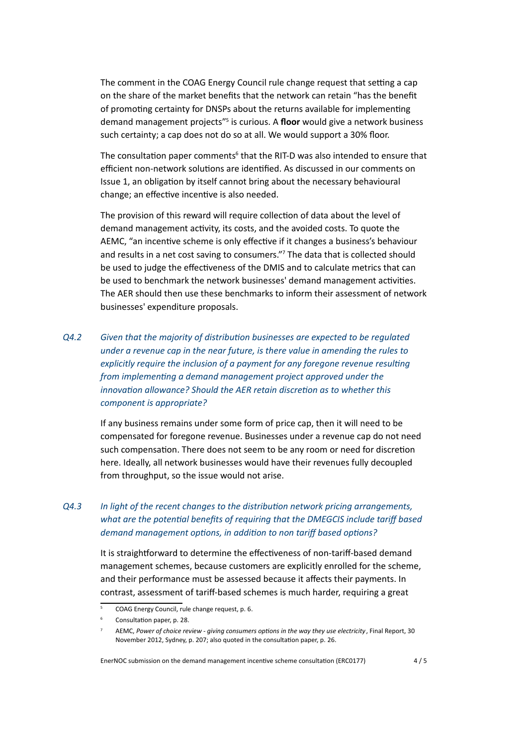The comment in the COAG Energy Council rule change request that setting a cap on the share of the market benefits that the network can retain "has the benefit of promoting certainty for DNSPs about the returns available for implementing demand management projects"<sup>5</sup> is curious. A floor would give a network business such certainty; a cap does not do so at all. We would support a 30% floor.

The consultation paper comments<sup>6</sup> that the RIT-D was also intended to ensure that efficient non-network solutions [a](#page-3-0)re identified. As discussed in our comments on Issue 1, an obligation by itself cannot bring about the necessary behavioural change; an effective incentive is a[lso](#page-3-1) needed.

The provision of this reward will require collection of data about the level of demand management activity, its costs, and the avoided costs. To quote the AEMC, "an incentive scheme is only effective if it changes a business's behaviour and results in a net cost saving to consumers."7 The data that is collected should be used to judge the effectiveness of the DMIS and to calculate metrics that can be used to benchmark the network businesses' demand management activities. The AER should then use these benchmarks t[o i](#page-3-2)nform their assessment of network businesses' expenditure proposals.

*Q4.2* Given that the majority of distribution businesses are expected to be regulated *under a revenue cap in the near future, is there value in amending the rules to explicitly require the inclusion of a payment for any foregone revenue resulting from implementing a demand management project approved under the innovation allowance? Should the AER retain discretion as to whether this component is appropriate?*

> If any business remains under some form of price cap, then it will need to be compensated for foregone revenue. Businesses under a revenue cap do not need such compensation. There does not seem to be any room or need for discretion here. Ideally, all network businesses would have their revenues fully decoupled from throughput, so the issue would not arise.

# *Q4.3 In light of the recent changes to the distribution network pricing arrangements, what are the potential benefits of requiring that the DMEGCIS include tariff based demand management options, in addition to non tariff based options?*

It is straightforward to determine the effectiveness of non-tariff-based demand management schemes, because customers are explicitly enrolled for the scheme, and their performance must be assessed because it affects their payments. In contrast, assessment of tariff-based schemes is much harder, requiring a great

<span id="page-3-2"></span><span id="page-3-1"></span><span id="page-3-0"></span>EnerNOC submission on the demand management incentive scheme consultation (ERC0177) 4/5

<sup>5</sup> COAG Energy Council, rule change request, p. 6.

Consultation paper, p. 28.

AEMC, Power of choice review - giving consumers options in the way they use electricity, Final Report, 30 November 2012, Sydney, p. 207; also quoted in the consultation paper, p. 26.